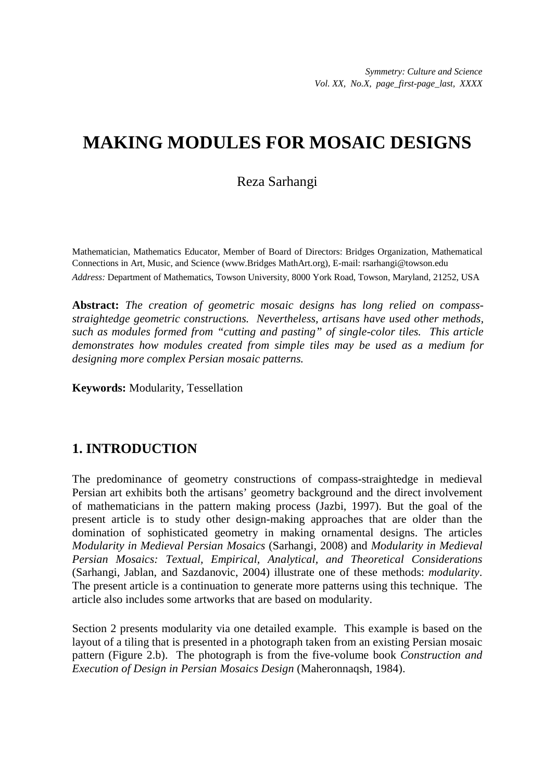# **MAKING MODULES FOR MOSAIC DESIGNS**

### Reza Sarhangi

Mathematician, Mathematics Educator, Member of Board of Directors: Bridges Organization, Mathematical Connections in Art, Music, and Science (www.Bridges MathArt.org), E-mail: rsarhangi@towson.edu *Address:* Department of Mathematics, Towson University, 8000 York Road, Towson, Maryland, 21252, USA

**Abstract:** *The creation of geometric mosaic designs has long relied on compassstraightedge geometric constructions. Nevertheless, artisans have used other methods, such as modules formed from "cutting and pasting" of single-color tiles. This article demonstrates how modules created from simple tiles may be used as a medium for designing more complex Persian mosaic patterns.* 

**Keywords:** Modularity, Tessellation

## **1. INTRODUCTION**

The predominance of geometry constructions of compass-straightedge in medieval Persian art exhibits both the artisans' geometry background and the direct involvement of mathematicians in the pattern making process (Jazbi, 1997). But the goal of the present article is to study other design-making approaches that are older than the domination of sophisticated geometry in making ornamental designs. The articles *Modularity in Medieval Persian Mosaics* (Sarhangi, 2008) and *Modularity in Medieval Persian Mosaics: Textual, Empirical, Analytical, and Theoretical Considerations* (Sarhangi, Jablan, and Sazdanovic, 2004) illustrate one of these methods: *modularity*. The present article is a continuation to generate more patterns using this technique. The article also includes some artworks that are based on modularity.

Section 2 presents modularity via one detailed example. This example is based on the layout of a tiling that is presented in a photograph taken from an existing Persian mosaic pattern (Figure 2.b). The photograph is from the five-volume book *Construction and Execution of Design in Persian Mosaics Design* (Maheronnaqsh, 1984).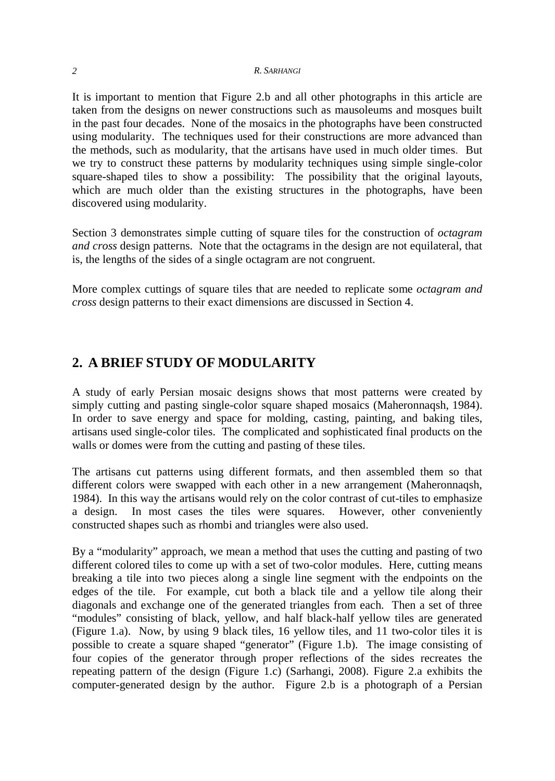#### *2 R. SARHANGI*

It is important to mention that Figure 2.b and all other photographs in this article are taken from the designs on newer constructions such as mausoleums and mosques built in the past four decades. None of the mosaics in the photographs have been constructed using modularity. The techniques used for their constructions are more advanced than the methods, such as modularity, that the artisans have used in much older times. But we try to construct these patterns by modularity techniques using simple single-color square-shaped tiles to show a possibility: The possibility that the original layouts, which are much older than the existing structures in the photographs, have been discovered using modularity.

Section 3 demonstrates simple cutting of square tiles for the construction of *octagram and cross* design patterns. Note that the octagrams in the design are not equilateral, that is, the lengths of the sides of a single octagram are not congruent.

More complex cuttings of square tiles that are needed to replicate some *octagram and cross* design patterns to their exact dimensions are discussed in Section 4.

### **2. A BRIEF STUDY OF MODULARITY**

A study of early Persian mosaic designs shows that most patterns were created by simply cutting and pasting single-color square shaped mosaics (Maheronnaqsh, 1984). In order to save energy and space for molding, casting, painting, and baking tiles, artisans used single-color tiles. The complicated and sophisticated final products on the walls or domes were from the cutting and pasting of these tiles.

The artisans cut patterns using different formats, and then assembled them so that different colors were swapped with each other in a new arrangement (Maheronnaqsh, 1984). In this way the artisans would rely on the color contrast of cut-tiles to emphasize a design. In most cases the tiles were squares. However, other conveniently constructed shapes such as rhombi and triangles were also used.

By a "modularity" approach, we mean a method that uses the cutting and pasting of two different colored tiles to come up with a set of two-color modules. Here, cutting means breaking a tile into two pieces along a single line segment with the endpoints on the edges of the tile. For example, cut both a black tile and a yellow tile along their diagonals and exchange one of the generated triangles from each. Then a set of three "modules" consisting of black, yellow, and half black-half yellow tiles are generated (Figure 1.a). Now, by using 9 black tiles, 16 yellow tiles, and 11 two-color tiles it is possible to create a square shaped "generator" (Figure 1.b). The image consisting of four copies of the generator through proper reflections of the sides recreates the repeating pattern of the design (Figure 1.c) (Sarhangi, 2008). Figure 2.a exhibits the computer-generated design by the author. Figure 2.b is a photograph of a Persian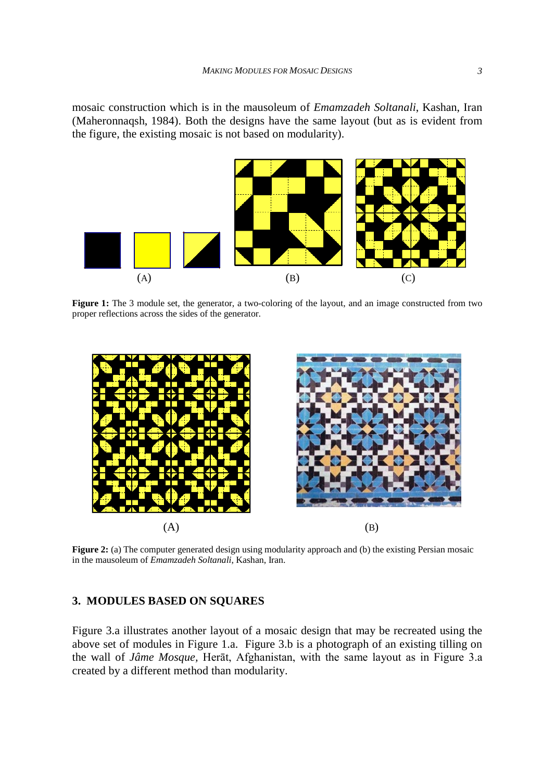mosaic construction which is in the mausoleum of *Emamzadeh Soltanali*, Kashan, Iran (Maheronnaqsh, 1984). Both the designs have the same layout (but as is evident from the figure, the existing mosaic is not based on modularity).



**Figure 1:** The 3 module set, the generator, a two-coloring of the layout, and an image constructed from two proper reflections across the sides of the generator.



**Figure 2:** (a) The computer generated design using modularity approach and (b) the existing Persian mosaic in the mausoleum of *Emamzadeh Soltanali*, Kashan, Iran.

#### **3. MODULES BASED ON SQUARES**

Figure 3.a illustrates another layout of a mosaic design that may be recreated using the above set of modules in Figure 1.a. Figure 3.b is a photograph of an existing tilling on the wall of *Jâme Mosque,* Herāt, Afghanistan, with the same layout as in Figure 3.a created by a different method than modularity.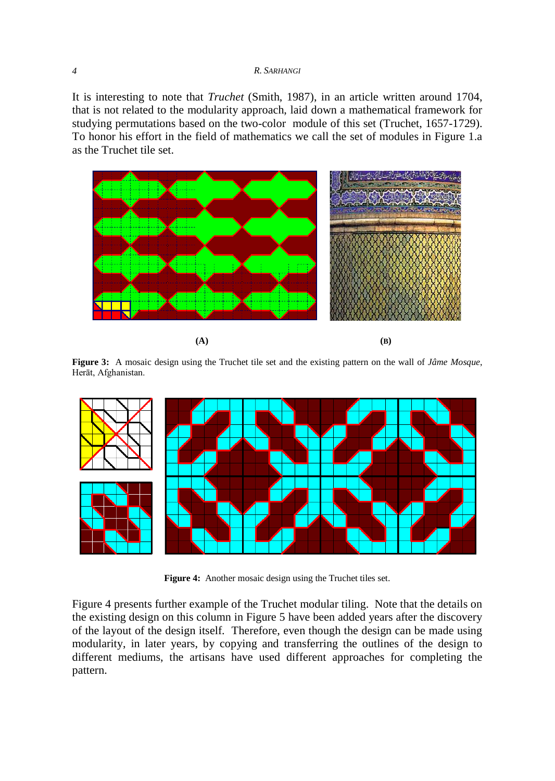#### *4 R. SARHANGI*

It is interesting to note that *Truchet* (Smith, 1987), in an article written around 1704, that is not related to the modularity approach, laid down a mathematical framework for studying permutations based on the two-color module of this set (Truchet, 1657-1729). To honor his effort in the field of mathematics we call the set of modules in Figure 1.a as the Truchet tile set.



**(A) (B)**

**Figure 3:** A mosaic design using the Truchet tile set and the existing pattern on the wall of *Jâme Mosque*, Herāt, Afghanistan.



**Figure 4:** Another mosaic design using the Truchet tiles set.

Figure 4 presents further example of the Truchet modular tiling. Note that the details on the existing design on this column in Figure 5 have been added years after the discovery of the layout of the design itself. Therefore, even though the design can be made using modularity, in later years, by copying and transferring the outlines of the design to different mediums, the artisans have used different approaches for completing the pattern.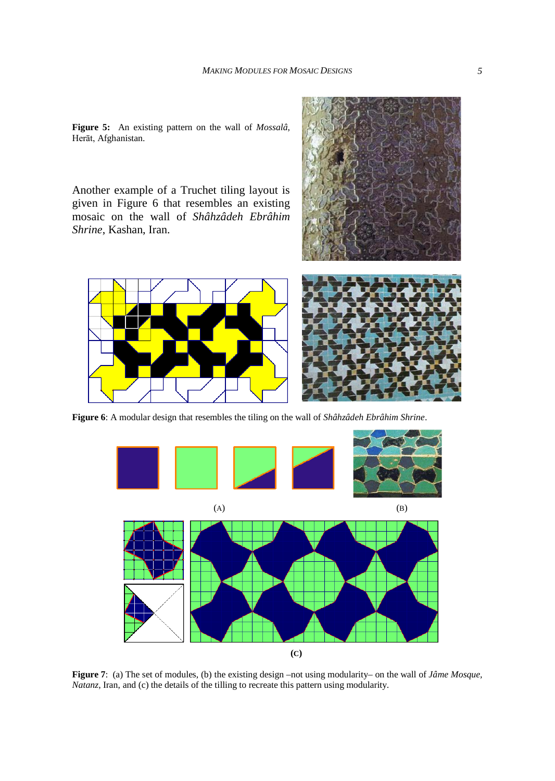**Figure 5:** An existing pattern on the wall of *Mossalâ*, Herāt, Afghanistan.

Another example of a Truchet tiling layout is given in Figure 6 that resembles an existing mosaic on the wall of *Shâhzâdeh Ebrâhim Shrine*, Kashan, Iran.





**Figure 6**: A modular design that resembles the tiling on the wall of *Shâhzâdeh Ebrâhim Shrine*.



**Figure 7**: (a) The set of modules, (b) the existing design –not using modularity– on the wall of *Jâme Mosque, Natanz*, Iran, and (c) the details of the tilling to recreate this pattern using modularity.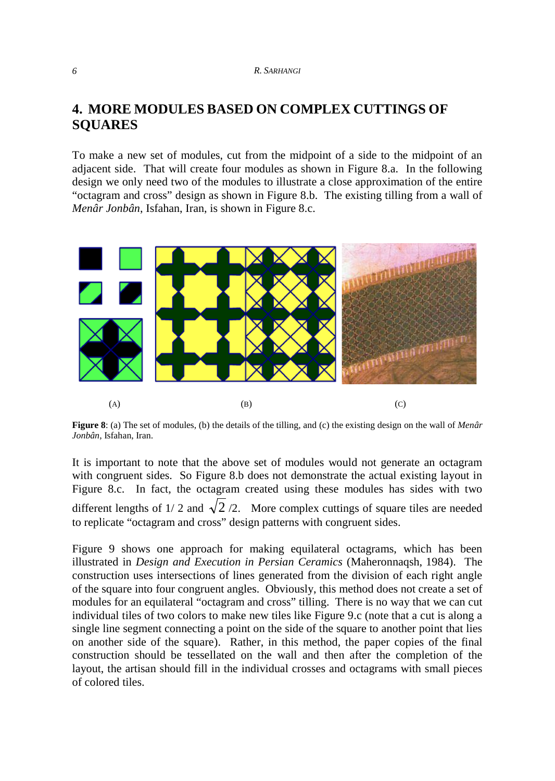### **4. MORE MODULES BASED ON COMPLEX CUTTINGS OF SQUARES**

To make a new set of modules, cut from the midpoint of a side to the midpoint of an adjacent side. That will create four modules as shown in Figure 8.a. In the following design we only need two of the modules to illustrate a close approximation of the entire "octagram and cross" design as shown in Figure 8.b. The existing tilling from a wall of *Menâr Jonbân*, Isfahan, Iran, is shown in Figure 8.c.



**Figure 8**: (a) The set of modules, (b) the details of the tilling, and (c) the existing design on the wall of *Menâr Jonbân*, Isfahan, Iran.

It is important to note that the above set of modules would not generate an octagram with congruent sides. So Figure 8.b does not demonstrate the actual existing layout in Figure 8.c. In fact, the octagram created using these modules has sides with two different lengths of 1/2 and  $\sqrt{2}/2$ . More complex cuttings of square tiles are needed to replicate "octagram and cross" design patterns with congruent sides.

Figure 9 shows one approach for making equilateral octagrams, which has been illustrated in *Design and Execution in Persian Ceramics* (Maheronnaqsh, 1984). The construction uses intersections of lines generated from the division of each right angle of the square into four congruent angles. Obviously, this method does not create a set of modules for an equilateral "octagram and cross" tilling. There is no way that we can cut individual tiles of two colors to make new tiles like Figure 9.c (note that a cut is along a single line segment connecting a point on the side of the square to another point that lies on another side of the square). Rather, in this method, the paper copies of the final construction should be tessellated on the wall and then after the completion of the layout, the artisan should fill in the individual crosses and octagrams with small pieces of colored tiles.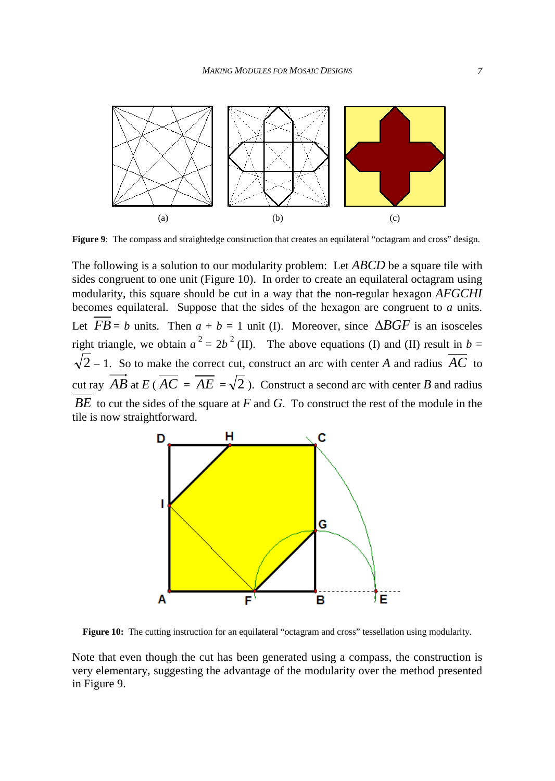

**Figure 9**: The compass and straightedge construction that creates an equilateral "octagram and cross" design.

The following is a solution to our modularity problem: Let *ABCD* be a square tile with sides congruent to one unit (Figure 10). In order to create an equilateral octagram using modularity, this square should be cut in a way that the non-regular hexagon *AFGCHI* becomes equilateral. Suppose that the sides of the hexagon are congruent to *a* units. Let  $FB = b$  units. Then  $a + b = 1$  unit (I). Moreover, since  $\triangle BGF$  is an isosceles right triangle, we obtain  $a^2 = 2b^2$  (II). The above equations (I) and (II) result in  $b =$  $\sqrt{2}$  – 1. So to make the correct cut, construct an arc with center *A* and radius  $\overline{AC}$  to cut ray  $\overrightarrow{AB}$  at  $\overrightarrow{EC} = \overrightarrow{AE} = \sqrt{2}$ ). Construct a second arc with center *B* and radius *BE* to cut the sides of the square at *F* and *G*. To construct the rest of the module in the tile is now straightforward.



**Figure 10:** The cutting instruction for an equilateral "octagram and cross" tessellation using modularity.

Note that even though the cut has been generated using a compass, the construction is very elementary, suggesting the advantage of the modularity over the method presented in Figure 9.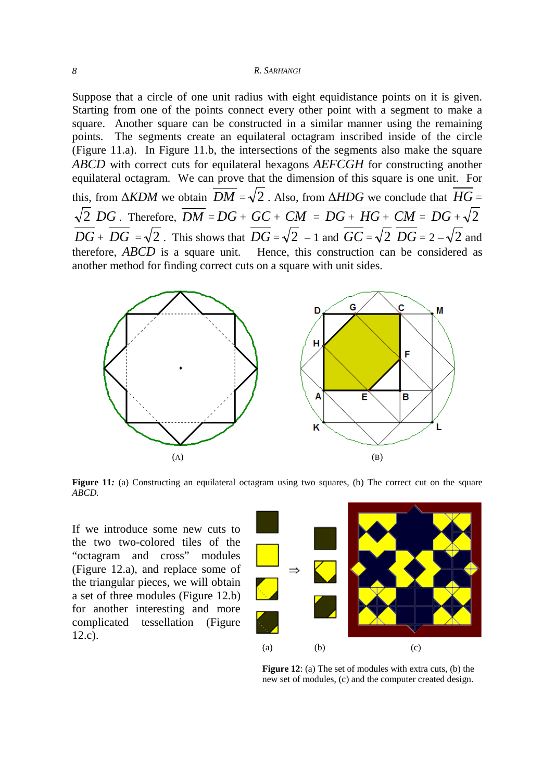#### *8 R. SARHANGI*

Suppose that a circle of one unit radius with eight equidistance points on it is given. Starting from one of the points connect every other point with a segment to make a square. Another square can be constructed in a similar manner using the remaining points. The segments create an equilateral octagram inscribed inside of the circle (Figure 11.a). In Figure 11.b, the intersections of the segments also make the square *ABCD* with correct cuts for equilateral hexagons *AEFCGH* for constructing another equilateral octagram. We can prove that the dimension of this square is one unit. For this, from  $\triangle KDM$  we obtain  $\overline{DM} = \sqrt{2}$ . Also, from  $\triangle HDG$  we conclude that  $\overline{HG} =$  $\sqrt{2}$   $\overline{DG}$ . Therefore,  $\overline{DM} = \overline{DG} + \overline{GC} + \overline{CM} = \overline{DG} + \overline{HG} + \overline{CM} = \overline{DG} + \sqrt{2}$  $\overline{DG}$  +  $\overline{DG}$  =  $\sqrt{2}$ . This shows that  $\overline{DG}$  =  $\sqrt{2}$  – 1 and  $\overline{GC}$  =  $\sqrt{2}$   $\overline{DG}$  = 2 –  $\sqrt{2}$  and therefore, *ABCD* is a square unit. Hence, this construction can be considered as another method for finding correct cuts on a square with unit sides.



Figure 11*:* (a) Constructing an equilateral octagram using two squares, (b) The correct cut on the square *ABCD.*

If we introduce some new cuts to the two two-colored tiles of the "octagram and cross" modules (Figure 12.a), and replace some of the triangular pieces, we will obtain a set of three modules (Figure 12.b) for another interesting and more complicated tessellation (Figure 12.c).



**Figure 12**: (a) The set of modules with extra cuts, (b) the new set of modules, (c) and the computer created design.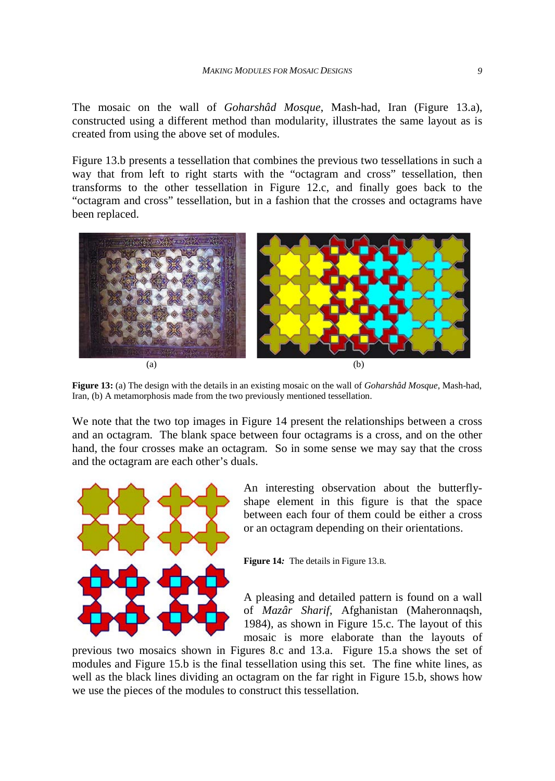The mosaic on the wall of *Goharshâd Mosque*, Mash-had, Iran (Figure 13.a), constructed using a different method than modularity, illustrates the same layout as is created from using the above set of modules.

Figure 13.b presents a tessellation that combines the previous two tessellations in such a way that from left to right starts with the "octagram and cross" tessellation, then transforms to the other tessellation in Figure 12.c, and finally goes back to the "octagram and cross" tessellation, but in a fashion that the crosses and octagrams have been replaced.



**Figure 13:** (a) The design with the details in an existing mosaic on the wall of *Goharshâd Mosque*, Mash-had, Iran, (b) A metamorphosis made from the two previously mentioned tessellation.

We note that the two top images in Figure 14 present the relationships between a cross and an octagram. The blank space between four octagrams is a cross, and on the other hand, the four crosses make an octagram. So in some sense we may say that the cross and the octagram are each other's duals.



An interesting observation about the butterflyshape element in this figure is that the space between each four of them could be either a cross or an octagram depending on their orientations.

**Figure 14***:* The details in Figure 13.B*.*

A pleasing and detailed pattern is found on a wall of *Mazâr Sharif*, Afghanistan (Maheronnaqsh*,* 1984), as shown in Figure 15.c. The layout of this mosaic is more elaborate than the layouts of

previous two mosaics shown in Figures 8.c and 13.a. Figure 15.a shows the set of modules and Figure 15.b is the final tessellation using this set. The fine white lines, as well as the black lines dividing an octagram on the far right in Figure 15.b, shows how we use the pieces of the modules to construct this tessellation.